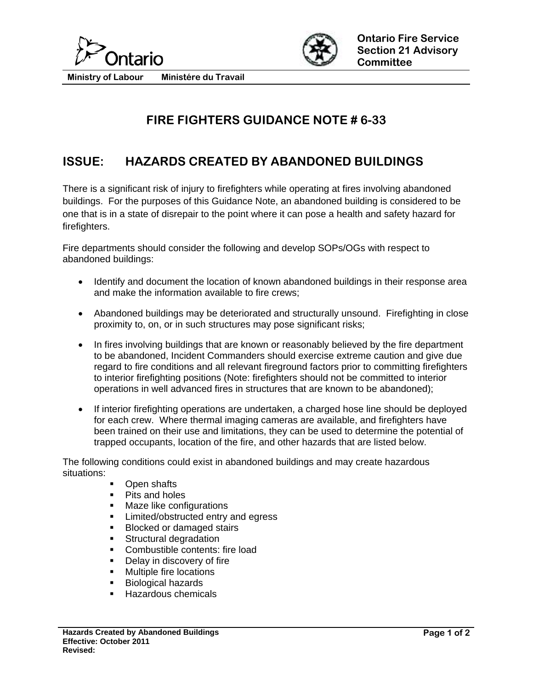



**Ministry of Labour Ministére du Travail** 

## **FIRE FIGHTERS GUIDANCE NOTE # 6-33**

## **ISSUE: HAZARDS CREATED BY ABANDONED BUILDINGS**

There is a significant risk of injury to firefighters while operating at fires involving abandoned buildings. For the purposes of this Guidance Note, an abandoned building is considered to be one that is in a state of disrepair to the point where it can pose a health and safety hazard for firefighters.

Fire departments should consider the following and develop SOPs/OGs with respect to abandoned buildings:

- Identify and document the location of known abandoned buildings in their response area and make the information available to fire crews;
- Abandoned buildings may be deteriorated and structurally unsound. Firefighting in close proximity to, on, or in such structures may pose significant risks;
- In fires involving buildings that are known or reasonably believed by the fire department to be abandoned, Incident Commanders should exercise extreme caution and give due regard to fire conditions and all relevant fireground factors prior to committing firefighters to interior firefighting positions (Note: firefighters should not be committed to interior operations in well advanced fires in structures that are known to be abandoned);
- If interior firefighting operations are undertaken, a charged hose line should be deployed for each crew. Where thermal imaging cameras are available, and firefighters have been trained on their use and limitations, they can be used to determine the potential of trapped occupants, location of the fire, and other hazards that are listed below.

The following conditions could exist in abandoned buildings and may create hazardous situations:

- Open shafts
- Pits and holes
- **Maze like configurations**
- **EXECUTE:** Limited/obstructed entry and egress
- **Blocked or damaged stairs**
- **Structural degradation**
- Combustible contents: fire load
- **-** Delay in discovery of fire
- **Nultiple fire locations**
- **Biological hazards**
- Hazardous chemicals